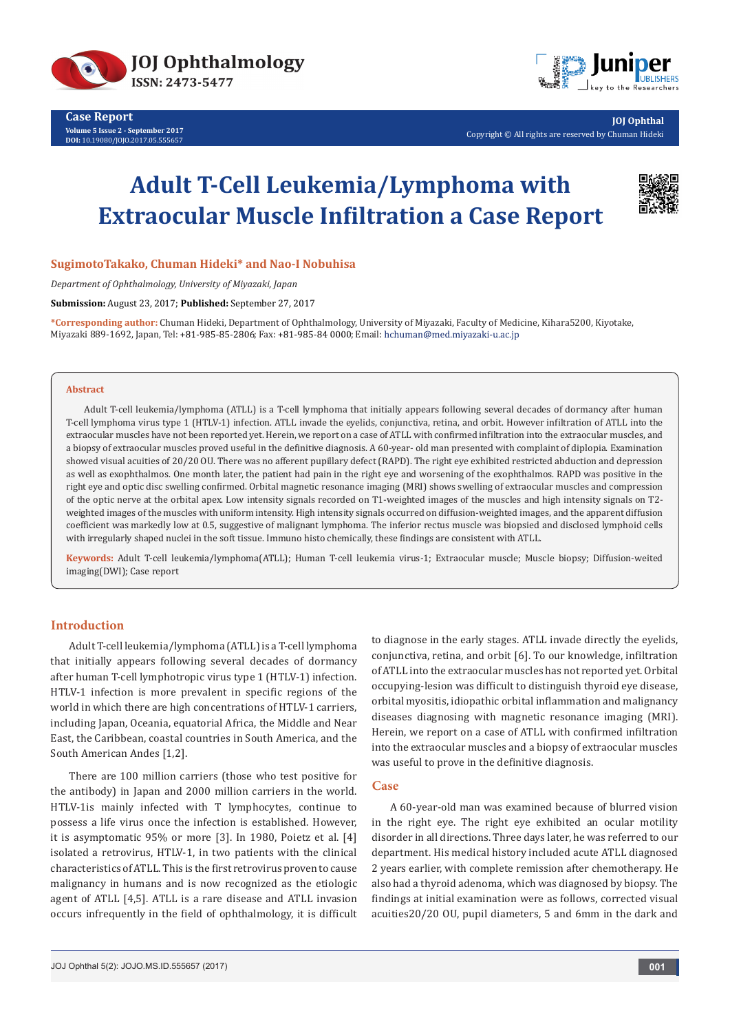



**JOJ Ophthal** Copyright © All rights are reserved by Chuman Hideki

# **Adult T-Cell Leukemia/Lymphoma with Extraocular Muscle Infiltration a Case Report**



# **SugimotoTakako, Chuman Hideki\* and Nao-I Nobuhisa**

*Department of Ophthalmology, University of Miyazaki, Japan*

**Submission:** August 23, 2017; **Published:** September 27, 2017

**\*Corresponding author:** Chuman Hideki, Department of Ophthalmology, University of Miyazaki, Faculty of Medicine, Kihara5200, Kiyotake, Miyazaki 889-1692, Japan, Tel: +81-985-85-2806; Fax: +81-985-84 0000; Email: hchuman@med.miyazaki-u.ac.jp

#### **Abstract**

Adult T-cell leukemia/lymphoma (ATLL) is a T-cell lymphoma that initially appears following several decades of dormancy after human T-cell lymphoma virus type 1 (HTLV-1) infection. ATLL invade the eyelids, conjunctiva, retina, and orbit. However infiltration of ATLL into the extraocular muscles have not been reported yet. Herein, we report on a case of ATLL with confirmed infiltration into the extraocular muscles, and a biopsy of extraocular muscles proved useful in the definitive diagnosis. A 60-year- old man presented with complaint of diplopia. Examination showed visual acuities of 20/20 OU. There was no afferent pupillary defect (RAPD). The right eye exhibited restricted abduction and depression as well as exophthalmos. One month later, the patient had pain in the right eye and worsening of the exophthalmos. RAPD was positive in the right eye and optic disc swelling confirmed. Orbital magnetic resonance imaging (MRI) shows swelling of extraocular muscles and compression of the optic nerve at the orbital apex. Low intensity signals recorded on T1-weighted images of the muscles and high intensity signals on T2 weighted images of the muscles with uniform intensity. High intensity signals occurred on diffusion-weighted images, and the apparent diffusion coefficient was markedly low at 0.5, suggestive of malignant lymphoma. The inferior rectus muscle was biopsied and disclosed lymphoid cells with irregularly shaped nuclei in the soft tissue. Immuno histo chemically, these findings are consistent with ATLL.

**Keywords:** Adult T-cell leukemia/lymphoma(ATLL); Human T-cell leukemia virus-1; Extraocular muscle; Muscle biopsy; Diffusion-weited imaging(DWI); Case report

# **Introduction**

Adult T-cell leukemia/lymphoma (ATLL) is a T-cell lymphoma that initially appears following several decades of dormancy after human T-cell lymphotropic virus type 1 (HTLV-1) infection. HTLV-1 infection is more prevalent in specific regions of the world in which there are high concentrations of HTLV-1 carriers, including Japan, Oceania, equatorial Africa, the Middle and Near East, the Caribbean, coastal countries in South America, and the South American Andes [1,2].

There are 100 million carriers (those who test positive for the antibody) in Japan and 2000 million carriers in the world. HTLV-1is mainly infected with T lymphocytes, continue to possess a life virus once the infection is established. However, it is asymptomatic 95% or more [3]. In 1980, Poietz et al. [4] isolated a retrovirus, HTLV-1, in two patients with the clinical characteristics of ATLL. This is the first retrovirus proven to cause malignancy in humans and is now recognized as the etiologic agent of ATLL [4,5]. ATLL is a rare disease and ATLL invasion occurs infrequently in the field of ophthalmology, it is difficult

to diagnose in the early stages. ATLL invade directly the eyelids, conjunctiva, retina, and orbit [6]. To our knowledge, infiltration of ATLL into the extraocular muscles has not reported yet. Orbital occupying-lesion was difficult to distinguish thyroid eye disease, orbital myositis, idiopathic orbital inflammation and malignancy diseases diagnosing with magnetic resonance imaging (MRI). Herein, we report on a case of ATLL with confirmed infiltration into the extraocular muscles and a biopsy of extraocular muscles was useful to prove in the definitive diagnosis.

### **Case**

A 60-year-old man was examined because of blurred vision in the right eye. The right eye exhibited an ocular motility disorder in all directions. Three days later, he was referred to our department. His medical history included acute ATLL diagnosed 2 years earlier, with complete remission after chemotherapy. He also had a thyroid adenoma, which was diagnosed by biopsy. The findings at initial examination were as follows, corrected visual acuities20/20 OU, pupil diameters, 5 and 6mm in the dark and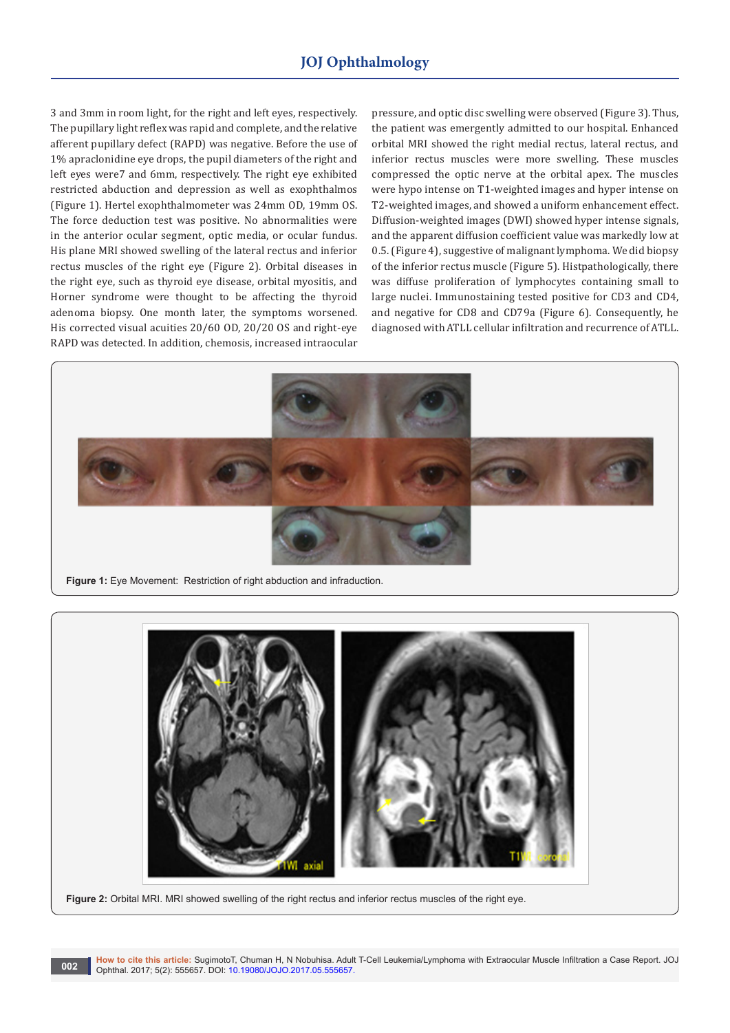3 and 3mm in room light, for the right and left eyes, respectively. The pupillary light reflex was rapid and complete, and the relative afferent pupillary defect (RAPD) was negative. Before the use of 1% apraclonidine eye drops, the pupil diameters of the right and left eyes were7 and 6mm, respectively. The right eye exhibited restricted abduction and depression as well as exophthalmos (Figure 1). Hertel exophthalmometer was 24mm OD, 19mm OS. The force deduction test was positive. No abnormalities were in the anterior ocular segment, optic media, or ocular fundus. His plane MRI showed swelling of the lateral rectus and inferior rectus muscles of the right eye (Figure 2). Orbital diseases in the right eye, such as thyroid eye disease, orbital myositis, and Horner syndrome were thought to be affecting the thyroid adenoma biopsy. One month later, the symptoms worsened. His corrected visual acuities 20/60 OD, 20/20 OS and right-eye RAPD was detected. In addition, chemosis, increased intraocular

pressure, and optic disc swelling were observed (Figure 3). Thus, the patient was emergently admitted to our hospital. Enhanced orbital MRI showed the right medial rectus, lateral rectus, and inferior rectus muscles were more swelling. These muscles compressed the optic nerve at the orbital apex. The muscles were hypo intense on T1-weighted images and hyper intense on T2-weighted images, and showed a uniform enhancement effect. Diffusion-weighted images (DWI) showed hyper intense signals, and the apparent diffusion coefficient value was markedly low at 0.5. (Figure 4), suggestive of malignant lymphoma. We did biopsy of the inferior rectus muscle (Figure 5). Histpathologically, there was diffuse proliferation of lymphocytes containing small to large nuclei. Immunostaining tested positive for CD3 and CD4, and negative for CD8 and CD79a (Figure 6). Consequently, he diagnosed with ATLL cellular infiltration and recurrence of ATLL.





**Figure 2:** Orbital MRI. MRI showed swelling of the right rectus and inferior rectus muscles of the right eye.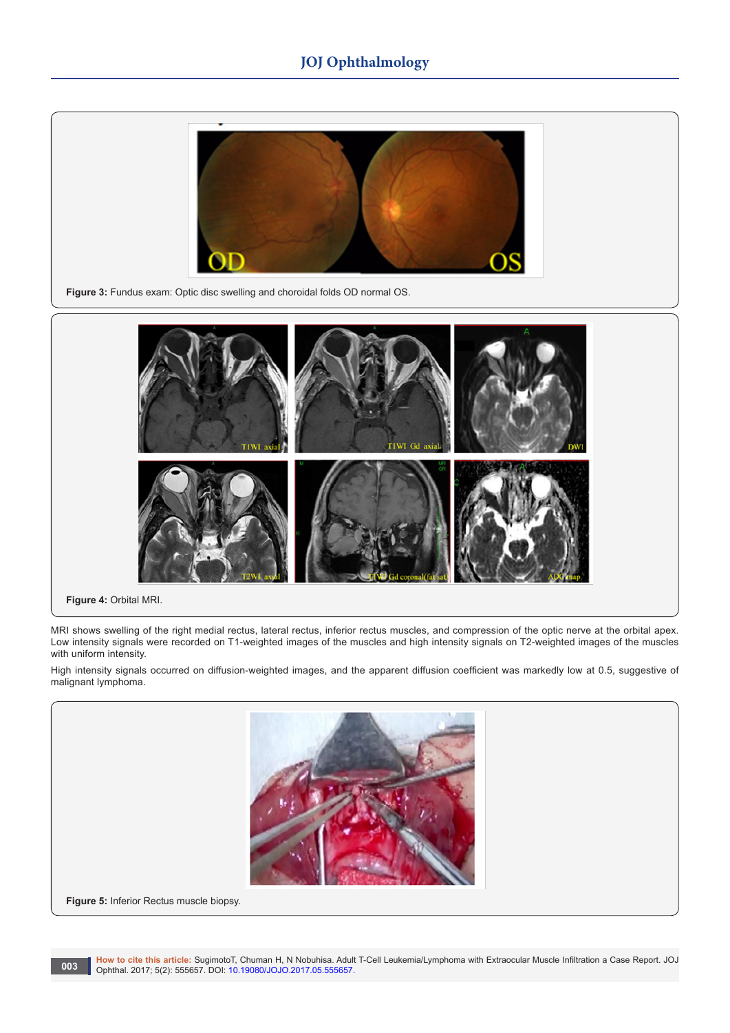# **JOJ Ophthalmology**







**Figure 4:** Orbital MRI.

MRI shows swelling of the right medial rectus, lateral rectus, inferior rectus muscles, and compression of the optic nerve at the orbital apex. Low intensity signals were recorded on T1-weighted images of the muscles and high intensity signals on T2-weighted images of the muscles with uniform intensity.

High intensity signals occurred on diffusion-weighted images, and the apparent diffusion coefficient was markedly low at 0.5, suggestive of malignant lymphoma.

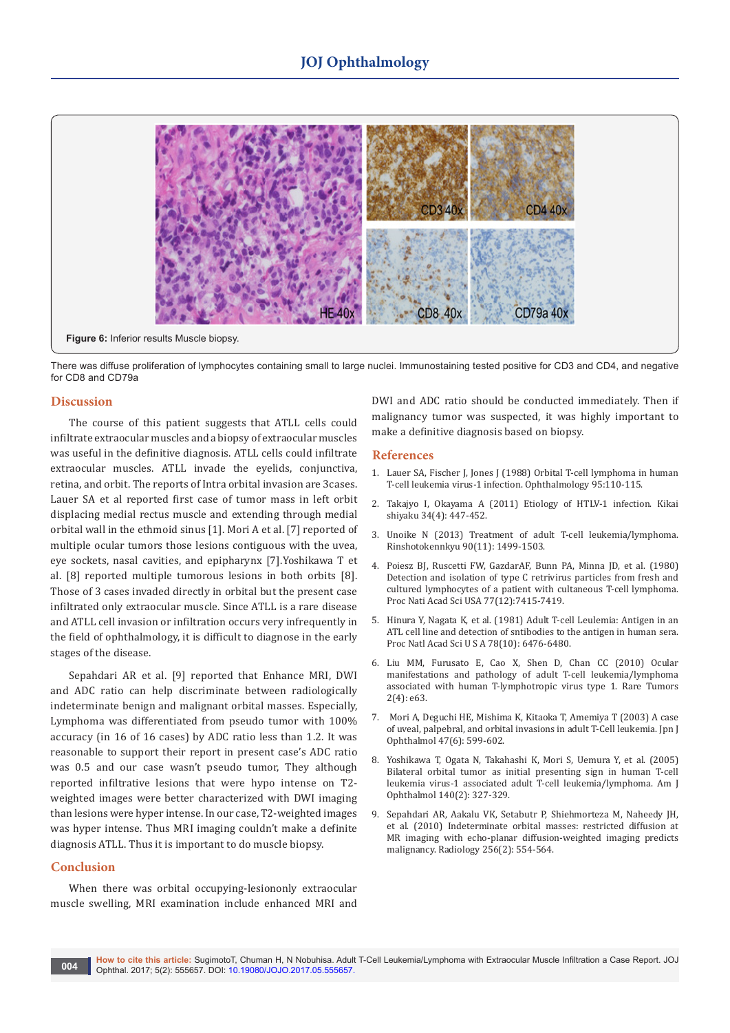

There was diffuse proliferation of lymphocytes containing small to large nuclei. Immunostaining tested positive for CD3 and CD4, and negative for CD8 and CD79a

### **Discussion**

The course of this patient suggests that ATLL cells could infiltrate extraocular muscles and a biopsy of extraocular muscles was useful in the definitive diagnosis. ATLL cells could infiltrate extraocular muscles. ATLL invade the eyelids, conjunctiva, retina, and orbit. The reports of Intra orbital invasion are 3cases. Lauer SA et al reported first case of tumor mass in left orbit displacing medial rectus muscle and extending through medial orbital wall in the ethmoid sinus [1]. Mori A et al. [7] reported of multiple ocular tumors those lesions contiguous with the uvea, eye sockets, nasal cavities, and epipharynx [7].Yoshikawa T et al. [8] reported multiple tumorous lesions in both orbits [8]. Those of 3 cases invaded directly in orbital but the present case infiltrated only extraocular muscle. Since ATLL is a rare disease and ATLL cell invasion or infiltration occurs very infrequently in the field of ophthalmology, it is difficult to diagnose in the early stages of the disease.

Sepahdari AR et al. [9] reported that Enhance MRI, DWI and ADC ratio can help discriminate between radiologically indeterminate benign and malignant orbital masses. Especially, Lymphoma was differentiated from pseudo tumor with 100% accuracy (in 16 of 16 cases) by ADC ratio less than 1.2. It was reasonable to support their report in present case's ADC ratio was 0.5 and our case wasn't pseudo tumor, They although reported infiltrative lesions that were hypo intense on T2 weighted images were better characterized with DWI imaging than lesions were hyper intense. In our case, T2-weighted images was hyper intense. Thus MRI imaging couldn't make a definite diagnosis ATLL. Thus it is important to do muscle biopsy.

### **Conclusion**

When there was orbital occupying-lesiononly extraocular muscle swelling, MRI examination include enhanced MRI and

DWI and ADC ratio should be conducted immediately. Then if malignancy tumor was suspected, it was highly important to make a definitive diagnosis based on biopsy.

### **References**

- 1. [Lauer SA, Fischer J, Jones J \(1988\) Orbital T-cell lymphoma in human](http://www.aaojournal.org/article/S0161-6420(88)33231-8/pdf)  [T-cell leukemia virus-1 infection. Ophthalmology 95:110-115.](http://www.aaojournal.org/article/S0161-6420(88)33231-8/pdf)
- 2. Takajyo I, Okayama A (2011) Etiology of HTLV-1 infection. Kikai shiyaku 34(4): 447-452.
- 3. Unoike N (2013) Treatment of adult T-cell leukemia/lymphoma. Rinshotokennkyu 90(11): 1499-1503.
- 4. [Poiesz BJ, Ruscetti FW, GazdarAF, Bunn PA, Minna JD, et al. \(1980\)](https://www.ncbi.nlm.nih.gov/pubmed/6261256/)  [Detection and isolation of type C retrivirus particles from fresh and](https://www.ncbi.nlm.nih.gov/pubmed/6261256/)  [cultured lymphocytes of a patient with cultaneous T-cell lymphoma.](https://www.ncbi.nlm.nih.gov/pubmed/6261256/)  [Proc Nati Acad Sci USA 77\(12\):7415-7419.](https://www.ncbi.nlm.nih.gov/pubmed/6261256/)
- 5. [Hinura Y, Nagata K, et al. \(1981\) Adult T-cell Leulemia: Antigen in an](https://www.ncbi.nlm.nih.gov/pubmed/7031654)  [ATL cell line and detection of sntibodies to the antigen in human sera.](https://www.ncbi.nlm.nih.gov/pubmed/7031654)  [Proc Natl Acad Sci U S A 78\(10\): 6476-6480.](https://www.ncbi.nlm.nih.gov/pubmed/7031654)
- 6. [Liu MM, Furusato E, Cao X, Shen D, Chan CC \(2010\) Ocular](https://www.ncbi.nlm.nih.gov/pubmed/21234255)  [manifestations and pathology of adult T-cell leukemia/lymphoma](https://www.ncbi.nlm.nih.gov/pubmed/21234255)  [associated with human T-lymphotropic virus type 1. Rare Tumors](https://www.ncbi.nlm.nih.gov/pubmed/21234255)  [2\(4\): e63.](https://www.ncbi.nlm.nih.gov/pubmed/21234255)
- 7. Mori A, Deguchi HE, Mishima K, [Kitaoka T](https://www.ncbi.nlm.nih.gov/pubmed/?term=Kitaoka%20T%5BAuthor%5D&cauthor=true&cauthor_uid=14636852), [Amemiya T \(2003\) A case](https://www.ncbi.nlm.nih.gov/pubmed/?term=Amemiya%20T%5BAuthor%5D&cauthor=true&cauthor_uid=14636852)  [of uveal, palpebral, and orbital invasions in adult T-Cell leukemia. Jpn J](https://www.ncbi.nlm.nih.gov/pubmed/?term=Amemiya%20T%5BAuthor%5D&cauthor=true&cauthor_uid=14636852)  [Ophthalmol 47\(6\): 599-602.](https://www.ncbi.nlm.nih.gov/pubmed/?term=Amemiya%20T%5BAuthor%5D&cauthor=true&cauthor_uid=14636852)
- 8. Yoshikawa T, Ogata N, Takahashi K, [Mori S](https://www.ncbi.nlm.nih.gov/pubmed/?term=Mori%20S%5BAuthor%5D&cauthor=true&cauthor_uid=16086963), Uemura Y, [et al. \(2005\)](https://www.ncbi.nlm.nih.gov/pubmed/?term=Uemura%20Y%5BAuthor%5D&cauthor=true&cauthor_uid=16086963)  [Bilateral orbital tumor as initial presenting sign in human T-cell](https://www.ncbi.nlm.nih.gov/pubmed/?term=Uemura%20Y%5BAuthor%5D&cauthor=true&cauthor_uid=16086963)  [leukemia virus-1 associated adult T-cell leukemia/lymphoma. Am J](https://www.ncbi.nlm.nih.gov/pubmed/?term=Uemura%20Y%5BAuthor%5D&cauthor=true&cauthor_uid=16086963)  [Ophthalmol 140\(2\): 327-329.](https://www.ncbi.nlm.nih.gov/pubmed/?term=Uemura%20Y%5BAuthor%5D&cauthor=true&cauthor_uid=16086963)
- 9. [Sepahdari AR, Aakalu VK, Setabutr P, Shiehmorteza M, Naheedy JH,](https://www.ncbi.nlm.nih.gov/pubmed/20656840)  [et al. \(2010\) Indeterminate orbital masses: restricted diffusion at](https://www.ncbi.nlm.nih.gov/pubmed/20656840)  [MR imaging with echo-planar diffusion-weighted imaging predicts](https://www.ncbi.nlm.nih.gov/pubmed/20656840)  [malignancy. Radiology 256\(2\): 554-564.](https://www.ncbi.nlm.nih.gov/pubmed/20656840)